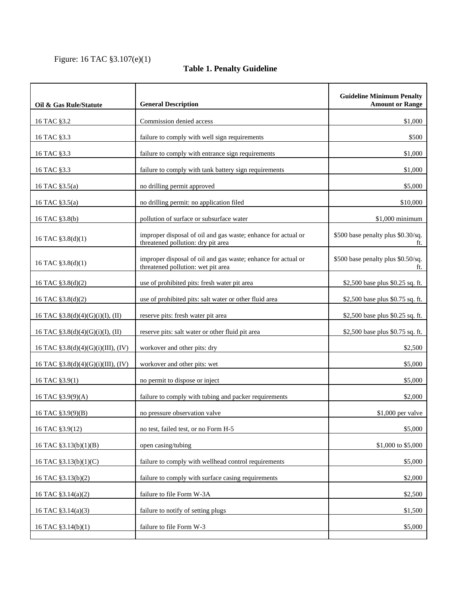## Figure: 16 TAC §3.107(e)(1)

## **Table 1. Penalty Guideline**

| Commission denied access<br>\$1,000<br>16 TAC §3.2<br>\$500<br>16 TAC §3.3<br>failure to comply with well sign requirements<br>failure to comply with entrance sign requirements<br>16 TAC §3.3<br>\$1,000<br>failure to comply with tank battery sign requirements<br>\$1,000<br>16 TAC §3.3<br>no drilling permit approved<br>\$5,000<br>16 TAC §3.5(a)<br>no drilling permit: no application filed<br>\$10,000<br>16 TAC §3.5(a)<br>pollution of surface or subsurface water<br>\$1,000 minimum<br>16 TAC §3.8(b)<br>improper disposal of oil and gas waste; enhance for actual or<br>\$500 base penalty plus \$0.30/sq.<br>16 TAC §3.8(d)(1)<br>threatened pollution: dry pit area<br>ft.<br>\$500 base penalty plus \$0.50/sq.<br>improper disposal of oil and gas waste; enhance for actual or<br>16 TAC §3.8(d)(1)<br>threatened pollution: wet pit area<br>ft.<br>use of prohibited pits: fresh water pit area<br>\$2,500 base plus \$0.25 sq. ft.<br>16 TAC §3.8(d)(2)<br>use of prohibited pits: salt water or other fluid area<br>\$2,500 base plus \$0.75 sq. ft.<br>16 TAC §3.8(d)(2)<br>16 TAC §3.8(d)(4)(G)(i)(I), (II)<br>reserve pits: fresh water pit area<br>\$2,500 base plus \$0.25 sq. ft.<br>reserve pits: salt water or other fluid pit area<br>16 TAC $$3.8(d)(4)(G)(i)(I), (II)$<br>\$2,500 base plus \$0.75 sq. ft.<br>\$2,500<br>16 TAC §3.8(d)(4)(G)(i)(III), (IV)<br>workover and other pits: dry<br>workover and other pits: wet<br>\$5,000<br>16 TAC §3.8(d)(4)(G)(i)(III), (IV)<br>no permit to dispose or inject<br>\$5,000<br>16 TAC §3.9(1)<br>failure to comply with tubing and packer requirements<br>\$2,000<br>16 TAC §3.9(9)(A)<br>no pressure observation valve<br>\$1,000 per valve<br>16 TAC §3.9(9)(B)<br>no test, failed test, or no Form H-5<br>\$5,000<br>16 TAC §3.9(12)<br>open casing/tubing<br>\$1,000 to \$5,000<br>16 TAC §3.13(b)(1)(B)<br>failure to comply with wellhead control requirements<br>16 TAC §3.13(b)(1)(C)<br>\$5,000<br>16 TAC §3.13(b)(2)<br>failure to comply with surface casing requirements<br>\$2,000<br>failure to file Form W-3A<br>\$2,500<br>16 TAC §3.14(a)(2)<br>failure to notify of setting plugs<br>16 TAC §3.14(a)(3)<br>\$1,500<br>failure to file Form W-3<br>\$5,000 | Oil & Gas Rule/Statute | <b>General Description</b> | <b>Guideline Minimum Penalty</b><br><b>Amount or Range</b> |
|---------------------------------------------------------------------------------------------------------------------------------------------------------------------------------------------------------------------------------------------------------------------------------------------------------------------------------------------------------------------------------------------------------------------------------------------------------------------------------------------------------------------------------------------------------------------------------------------------------------------------------------------------------------------------------------------------------------------------------------------------------------------------------------------------------------------------------------------------------------------------------------------------------------------------------------------------------------------------------------------------------------------------------------------------------------------------------------------------------------------------------------------------------------------------------------------------------------------------------------------------------------------------------------------------------------------------------------------------------------------------------------------------------------------------------------------------------------------------------------------------------------------------------------------------------------------------------------------------------------------------------------------------------------------------------------------------------------------------------------------------------------------------------------------------------------------------------------------------------------------------------------------------------------------------------------------------------------------------------------------------------------------------------------------------------------------------------------------------------------------------------------------------------------------------------------------------------------------------------------------------------------|------------------------|----------------------------|------------------------------------------------------------|
|                                                                                                                                                                                                                                                                                                                                                                                                                                                                                                                                                                                                                                                                                                                                                                                                                                                                                                                                                                                                                                                                                                                                                                                                                                                                                                                                                                                                                                                                                                                                                                                                                                                                                                                                                                                                                                                                                                                                                                                                                                                                                                                                                                                                                                                               |                        |                            |                                                            |
|                                                                                                                                                                                                                                                                                                                                                                                                                                                                                                                                                                                                                                                                                                                                                                                                                                                                                                                                                                                                                                                                                                                                                                                                                                                                                                                                                                                                                                                                                                                                                                                                                                                                                                                                                                                                                                                                                                                                                                                                                                                                                                                                                                                                                                                               |                        |                            |                                                            |
|                                                                                                                                                                                                                                                                                                                                                                                                                                                                                                                                                                                                                                                                                                                                                                                                                                                                                                                                                                                                                                                                                                                                                                                                                                                                                                                                                                                                                                                                                                                                                                                                                                                                                                                                                                                                                                                                                                                                                                                                                                                                                                                                                                                                                                                               |                        |                            |                                                            |
|                                                                                                                                                                                                                                                                                                                                                                                                                                                                                                                                                                                                                                                                                                                                                                                                                                                                                                                                                                                                                                                                                                                                                                                                                                                                                                                                                                                                                                                                                                                                                                                                                                                                                                                                                                                                                                                                                                                                                                                                                                                                                                                                                                                                                                                               |                        |                            |                                                            |
|                                                                                                                                                                                                                                                                                                                                                                                                                                                                                                                                                                                                                                                                                                                                                                                                                                                                                                                                                                                                                                                                                                                                                                                                                                                                                                                                                                                                                                                                                                                                                                                                                                                                                                                                                                                                                                                                                                                                                                                                                                                                                                                                                                                                                                                               |                        |                            |                                                            |
|                                                                                                                                                                                                                                                                                                                                                                                                                                                                                                                                                                                                                                                                                                                                                                                                                                                                                                                                                                                                                                                                                                                                                                                                                                                                                                                                                                                                                                                                                                                                                                                                                                                                                                                                                                                                                                                                                                                                                                                                                                                                                                                                                                                                                                                               |                        |                            |                                                            |
|                                                                                                                                                                                                                                                                                                                                                                                                                                                                                                                                                                                                                                                                                                                                                                                                                                                                                                                                                                                                                                                                                                                                                                                                                                                                                                                                                                                                                                                                                                                                                                                                                                                                                                                                                                                                                                                                                                                                                                                                                                                                                                                                                                                                                                                               |                        |                            |                                                            |
|                                                                                                                                                                                                                                                                                                                                                                                                                                                                                                                                                                                                                                                                                                                                                                                                                                                                                                                                                                                                                                                                                                                                                                                                                                                                                                                                                                                                                                                                                                                                                                                                                                                                                                                                                                                                                                                                                                                                                                                                                                                                                                                                                                                                                                                               |                        |                            |                                                            |
|                                                                                                                                                                                                                                                                                                                                                                                                                                                                                                                                                                                                                                                                                                                                                                                                                                                                                                                                                                                                                                                                                                                                                                                                                                                                                                                                                                                                                                                                                                                                                                                                                                                                                                                                                                                                                                                                                                                                                                                                                                                                                                                                                                                                                                                               |                        |                            |                                                            |
|                                                                                                                                                                                                                                                                                                                                                                                                                                                                                                                                                                                                                                                                                                                                                                                                                                                                                                                                                                                                                                                                                                                                                                                                                                                                                                                                                                                                                                                                                                                                                                                                                                                                                                                                                                                                                                                                                                                                                                                                                                                                                                                                                                                                                                                               |                        |                            |                                                            |
|                                                                                                                                                                                                                                                                                                                                                                                                                                                                                                                                                                                                                                                                                                                                                                                                                                                                                                                                                                                                                                                                                                                                                                                                                                                                                                                                                                                                                                                                                                                                                                                                                                                                                                                                                                                                                                                                                                                                                                                                                                                                                                                                                                                                                                                               |                        |                            |                                                            |
|                                                                                                                                                                                                                                                                                                                                                                                                                                                                                                                                                                                                                                                                                                                                                                                                                                                                                                                                                                                                                                                                                                                                                                                                                                                                                                                                                                                                                                                                                                                                                                                                                                                                                                                                                                                                                                                                                                                                                                                                                                                                                                                                                                                                                                                               |                        |                            |                                                            |
|                                                                                                                                                                                                                                                                                                                                                                                                                                                                                                                                                                                                                                                                                                                                                                                                                                                                                                                                                                                                                                                                                                                                                                                                                                                                                                                                                                                                                                                                                                                                                                                                                                                                                                                                                                                                                                                                                                                                                                                                                                                                                                                                                                                                                                                               |                        |                            |                                                            |
|                                                                                                                                                                                                                                                                                                                                                                                                                                                                                                                                                                                                                                                                                                                                                                                                                                                                                                                                                                                                                                                                                                                                                                                                                                                                                                                                                                                                                                                                                                                                                                                                                                                                                                                                                                                                                                                                                                                                                                                                                                                                                                                                                                                                                                                               |                        |                            |                                                            |
|                                                                                                                                                                                                                                                                                                                                                                                                                                                                                                                                                                                                                                                                                                                                                                                                                                                                                                                                                                                                                                                                                                                                                                                                                                                                                                                                                                                                                                                                                                                                                                                                                                                                                                                                                                                                                                                                                                                                                                                                                                                                                                                                                                                                                                                               |                        |                            |                                                            |
|                                                                                                                                                                                                                                                                                                                                                                                                                                                                                                                                                                                                                                                                                                                                                                                                                                                                                                                                                                                                                                                                                                                                                                                                                                                                                                                                                                                                                                                                                                                                                                                                                                                                                                                                                                                                                                                                                                                                                                                                                                                                                                                                                                                                                                                               |                        |                            |                                                            |
|                                                                                                                                                                                                                                                                                                                                                                                                                                                                                                                                                                                                                                                                                                                                                                                                                                                                                                                                                                                                                                                                                                                                                                                                                                                                                                                                                                                                                                                                                                                                                                                                                                                                                                                                                                                                                                                                                                                                                                                                                                                                                                                                                                                                                                                               |                        |                            |                                                            |
|                                                                                                                                                                                                                                                                                                                                                                                                                                                                                                                                                                                                                                                                                                                                                                                                                                                                                                                                                                                                                                                                                                                                                                                                                                                                                                                                                                                                                                                                                                                                                                                                                                                                                                                                                                                                                                                                                                                                                                                                                                                                                                                                                                                                                                                               |                        |                            |                                                            |
|                                                                                                                                                                                                                                                                                                                                                                                                                                                                                                                                                                                                                                                                                                                                                                                                                                                                                                                                                                                                                                                                                                                                                                                                                                                                                                                                                                                                                                                                                                                                                                                                                                                                                                                                                                                                                                                                                                                                                                                                                                                                                                                                                                                                                                                               |                        |                            |                                                            |
|                                                                                                                                                                                                                                                                                                                                                                                                                                                                                                                                                                                                                                                                                                                                                                                                                                                                                                                                                                                                                                                                                                                                                                                                                                                                                                                                                                                                                                                                                                                                                                                                                                                                                                                                                                                                                                                                                                                                                                                                                                                                                                                                                                                                                                                               |                        |                            |                                                            |
|                                                                                                                                                                                                                                                                                                                                                                                                                                                                                                                                                                                                                                                                                                                                                                                                                                                                                                                                                                                                                                                                                                                                                                                                                                                                                                                                                                                                                                                                                                                                                                                                                                                                                                                                                                                                                                                                                                                                                                                                                                                                                                                                                                                                                                                               |                        |                            |                                                            |
|                                                                                                                                                                                                                                                                                                                                                                                                                                                                                                                                                                                                                                                                                                                                                                                                                                                                                                                                                                                                                                                                                                                                                                                                                                                                                                                                                                                                                                                                                                                                                                                                                                                                                                                                                                                                                                                                                                                                                                                                                                                                                                                                                                                                                                                               |                        |                            |                                                            |
|                                                                                                                                                                                                                                                                                                                                                                                                                                                                                                                                                                                                                                                                                                                                                                                                                                                                                                                                                                                                                                                                                                                                                                                                                                                                                                                                                                                                                                                                                                                                                                                                                                                                                                                                                                                                                                                                                                                                                                                                                                                                                                                                                                                                                                                               |                        |                            |                                                            |
|                                                                                                                                                                                                                                                                                                                                                                                                                                                                                                                                                                                                                                                                                                                                                                                                                                                                                                                                                                                                                                                                                                                                                                                                                                                                                                                                                                                                                                                                                                                                                                                                                                                                                                                                                                                                                                                                                                                                                                                                                                                                                                                                                                                                                                                               |                        |                            |                                                            |
|                                                                                                                                                                                                                                                                                                                                                                                                                                                                                                                                                                                                                                                                                                                                                                                                                                                                                                                                                                                                                                                                                                                                                                                                                                                                                                                                                                                                                                                                                                                                                                                                                                                                                                                                                                                                                                                                                                                                                                                                                                                                                                                                                                                                                                                               | 16 TAC §3.14(b)(1)     |                            |                                                            |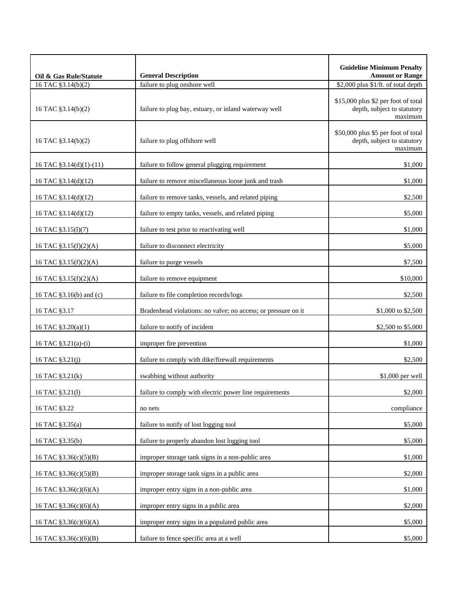| Oil & Gas Rule/Statute  | <b>General Description</b>                                    | <b>Guideline Minimum Penalty</b><br><b>Amount or Range</b>                    |
|-------------------------|---------------------------------------------------------------|-------------------------------------------------------------------------------|
| 16 TAC §3.14(b)(2)      | failure to plug onshore well                                  | \$2,000 plus \$1/ft. of total depth                                           |
| 16 TAC §3.14(b)(2)      | failure to plug bay, estuary, or inland waterway well         | \$15,000 plus \$2 per foot of total<br>depth, subject to statutory<br>maximum |
| 16 TAC §3.14(b)(2)      | failure to plug offshore well                                 | \$50,000 plus \$5 per foot of total<br>depth, subject to statutory<br>maximum |
| 16 TAC §3.14(d)(1)-(11) | failure to follow general plugging requirement                | \$1,000                                                                       |
| 16 TAC §3.14(d)(12)     | failure to remove miscellaneous loose junk and trash          | \$1,000                                                                       |
| 16 TAC §3.14(d)(12)     | failure to remove tanks, vessels, and related piping          | \$2,500                                                                       |
| 16 TAC §3.14(d)(12)     | failure to empty tanks, vessels, and related piping           | \$5,000                                                                       |
| 16 TAC §3.15(1)(7)      | failure to test prior to reactivating well                    | \$1,000                                                                       |
| 16 TAC §3.15(f)(2)(A)   | failure to disconnect electricity                             | \$5,000                                                                       |
| 16 TAC §3.15(f)(2)(A)   | failure to purge vessels                                      | \$7,500                                                                       |
| 16 TAC §3.15(f)(2)(A)   | failure to remove equipment                                   | \$10,000                                                                      |
| 16 TAC §3.16(b) and (c) | failure to file completion records/logs                       | \$2,500                                                                       |
| 16 TAC §3.17            | Bradenhead violations: no valve; no access; or pressure on it | \$1,000 to \$2,500                                                            |
| 16 TAC §3.20(a)(1)      | failure to notify of incident                                 | \$2,500 to \$5,000                                                            |
| 16 TAC §3.21(a)-(i)     | improper fire prevention                                      | \$1,000                                                                       |
| 16 TAC §3.21(j)         | failure to comply with dike/firewall requirements             | \$2,500                                                                       |
| 16 TAC §3.21(k)         | swabbing without authority                                    | \$1,000 per well                                                              |
| 16 TAC \$3.21(1)        | failure to comply with electric power line requirements       | \$2,000                                                                       |
| 16 TAC §3.22            | no nets                                                       | compliance                                                                    |
| 16 TAC §3.35(a)         | failure to notify of lost logging tool                        | \$5,000                                                                       |
| 16 TAC §3.35(b)         | failure to properly abandon lost logging tool                 | \$5,000                                                                       |
| 16 TAC §3.36(c)(5)(B)   | improper storage tank signs in a non-public area              | \$1,000                                                                       |
| 16 TAC §3.36(c)(5)(B)   | improper storage tank signs in a public area                  | \$2,000                                                                       |
| 16 TAC §3.36(c)(6)(A)   | improper entry signs in a non-public area                     | \$1,000                                                                       |
| 16 TAC §3.36(c)(6)(A)   | improper entry signs in a public area                         | \$2,000                                                                       |
| 16 TAC $$3.36(c)(6)(A)$ | improper entry signs in a populated public area               | \$5,000                                                                       |
| 16 TAC §3.36(c)(6)(B)   | failure to fence specific area at a well                      | \$5,000                                                                       |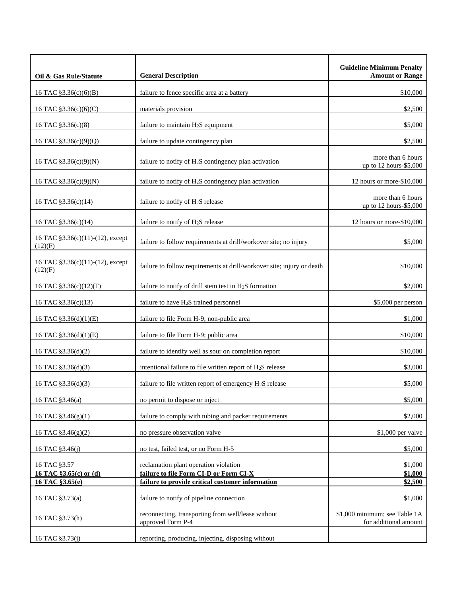| Oil & Gas Rule/Statute                      | <b>General Description</b>                                                      | <b>Guideline Minimum Penalty</b><br><b>Amount or Range</b> |
|---------------------------------------------|---------------------------------------------------------------------------------|------------------------------------------------------------|
| 16 TAC §3.36(c)(6)(B)                       | failure to fence specific area at a battery                                     | \$10,000                                                   |
| 16 TAC §3.36(c)(6)(C)                       | materials provision                                                             | \$2,500                                                    |
| 16 TAC §3.36(c)(8)                          | failure to maintain H <sub>2</sub> S equipment                                  | \$5,000                                                    |
| 16 TAC §3.36(c)(9)(Q)                       | failure to update contingency plan                                              | \$2,500                                                    |
| 16 TAC §3.36(c)(9)(N)                       | failure to notify of $H_2S$ contingency plan activation                         | more than 6 hours<br>up to 12 hours-\$5,000                |
| 16 TAC §3.36(c)(9)(N)                       | failure to notify of H <sub>2</sub> S contingency plan activation               | 12 hours or more-\$10,000                                  |
| 16 TAC §3.36(c)(14)                         | failure to notify of H <sub>2</sub> S release                                   | more than 6 hours<br>up to 12 hours-\$5,000                |
| 16 TAC §3.36(c)(14)                         | failure to notify of H <sub>2</sub> S release                                   | 12 hours or more-\$10,000                                  |
| 16 TAC §3.36(c)(11)-(12), except<br>(12)(F) | failure to follow requirements at drill/workover site; no injury                | \$5,000                                                    |
| 16 TAC §3.36(c)(11)-(12), except<br>(12)(F) | failure to follow requirements at drill/workover site; injury or death          | \$10,000                                                   |
| 16 TAC §3.36(c)(12)(F)                      | failure to notify of drill stem test in H <sub>2</sub> S formation              | \$2,000                                                    |
| 16 TAC §3.36(c)(13)                         | failure to have H <sub>2</sub> S trained personnel                              | \$5,000 per person                                         |
| 16 TAC §3.36(d)(1)(E)                       | failure to file Form H-9; non-public area                                       | \$1,000                                                    |
| 16 TAC §3.36(d)(1)(E)                       | failure to file Form H-9; public area                                           | \$10,000                                                   |
| 16 TAC §3.36(d)(2)                          | failure to identify well as sour on completion report                           | \$10,000                                                   |
| 16 TAC §3.36(d)(3)                          | intentional failure to file written report of H <sub>2</sub> S release          | \$3,000                                                    |
| 16 TAC §3.36(d)(3)                          | failure to file written report of emergency $H_2S$ release                      | \$5,000                                                    |
| 16 TAC §3.46(a)                             | no permit to dispose or inject                                                  | \$5,000                                                    |
| 16 TAC $$3.46(g)(1)$                        | failure to comply with tubing and packer requirements                           | \$2,000                                                    |
| 16 TAC §3.46(g)(2)                          | no pressure observation valve                                                   | $$1,000$ per valve                                         |
| 16 TAC §3.46(j)                             | no test, failed test, or no Form H-5                                            | \$5,000                                                    |
| 16 TAC §3.57<br>16 TAC §3.65(c) or (d)      | reclamation plant operation violation<br>failure to file Form CI-D or Form CI-X | \$1,000<br>\$1,000                                         |
| 16 TAC §3.65(e)                             | failure to provide critical customer information                                | \$2,500                                                    |
| 16 TAC §3.73(a)                             | failure to notify of pipeline connection                                        | \$1,000                                                    |
| 16 TAC §3.73(h)                             | reconnecting, transporting from well/lease without<br>approved Form P-4         | \$1,000 minimum; see Table 1A<br>for additional amount     |
| 16 TAC §3.73(j)                             | reporting, producing, injecting, disposing without                              |                                                            |